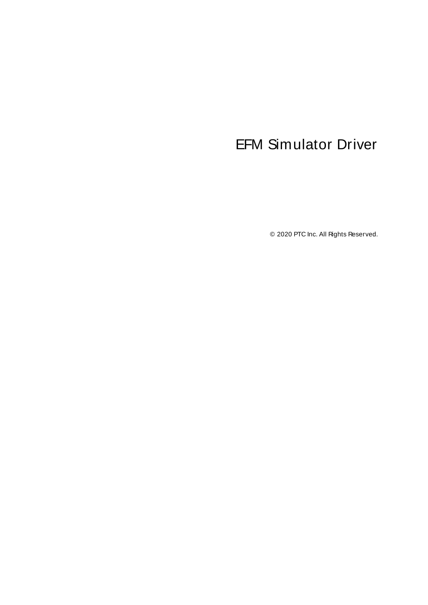# <span id="page-0-0"></span>EFM Simulator Driver

© 2020 PTC Inc. All Rights Reserved.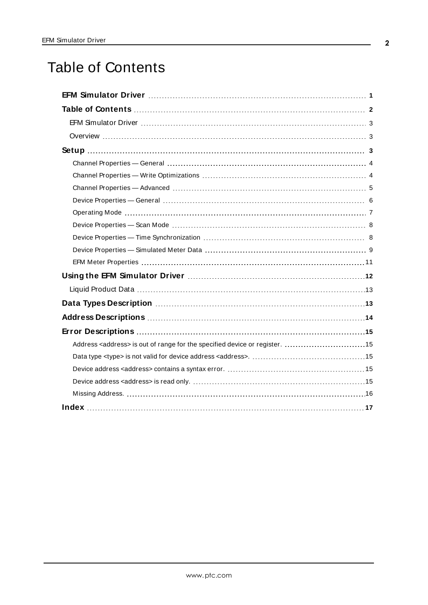# <span id="page-1-0"></span>Table of Contents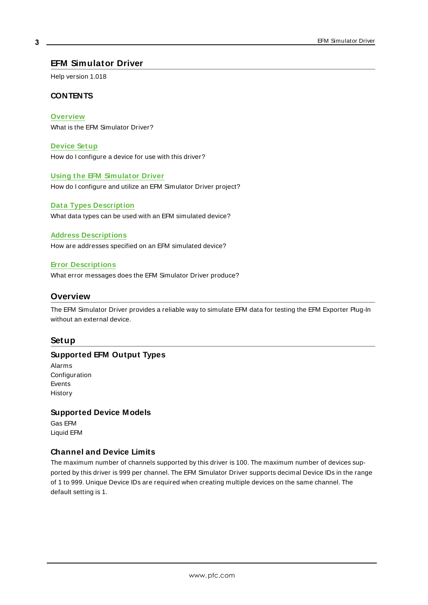#### <span id="page-2-0"></span>**EFM Simulator Driver**

Help version 1.018

#### **CONTENTS**

**[Overview](#page-2-1)**

What is the EFM Simulator Driver?

**[Device](#page-2-2) Setup** How do I configure a device for use with this driver?

#### **Using the EFM [Simulator](#page-11-0) Driver**

How do I configure and utilize an EFM Simulator Driver project?

#### **Data Types [Description](#page-12-1)**

What data types can be used with an EFM simulated device?

#### **Address [Descriptions](#page-13-0)**

How are addresses specified on an EFM simulated device?

#### **Error [Descriptions](#page-14-0)**

<span id="page-2-1"></span>What error messages does the EFM Simulator Driver produce?

#### <span id="page-2-8"></span>**Overview**

The EFM Simulator Driver provides a reliable way to simulate EFM data for testing the EFM Exporter Plug-In without an external device.

#### <span id="page-2-2"></span>**Setup**

#### <span id="page-2-3"></span>**Supported EFM Output Types**

<span id="page-2-7"></span><span id="page-2-6"></span><span id="page-2-4"></span>Alarms **Configuration** Events History

#### **Supported Device Models**

Gas EFM Liquid EFM

#### <span id="page-2-5"></span>**Channel and Device Limits**

The maximum number of channels supported by this driver is 100. The maximum number of devices supported by this driver is 999 per channel. The EFM Simulator Driver supports decimal Device IDs in the range of 1 to 999. Unique Device IDs are required when creating multiple devices on the same channel. The default setting is 1.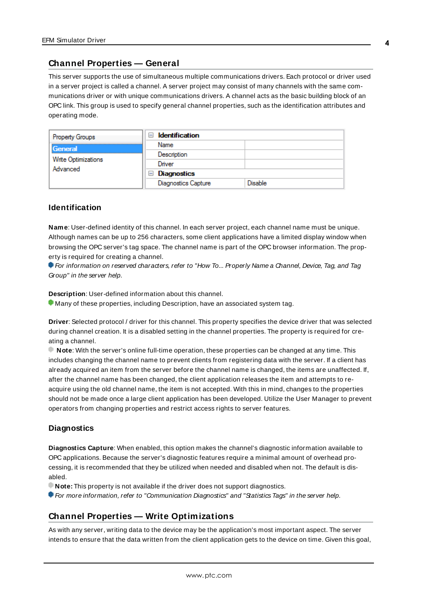### <span id="page-3-0"></span>**Channel Properties — General**

This server supports the use of simultaneous multiple communications drivers. Each protocol or driver used in a server project is called a channel. A server project may consist of many channels with the same communications driver or with unique communications drivers. A channel acts as the basic building block of an OPC link. This group is used to specify general channel properties, such as the identification attributes and operating mode.

| <b>Property Groups</b>          | <b>Identification</b><br>$\overline{ }$ |                |  |
|---------------------------------|-----------------------------------------|----------------|--|
| General                         | Name                                    |                |  |
| Write Optimizations<br>Advanced | Description                             |                |  |
|                                 | Driver                                  |                |  |
|                                 | $\Box$ Diagnostics                      |                |  |
|                                 | <b>Diagnostics Capture</b>              | <b>Disable</b> |  |

#### **Identification**

**Name**: User-defined identity of this channel. In each server project, each channel name must be unique. Although names can be up to 256 characters, some client applications have a limited display window when browsing the OPC server's tag space. The channel name is part of the OPC browser information. The property is required for creating a channel.

For information on reserved characters, refer to "How To... Properly Name a Channel, Device, Tag, and Tag Group" in the server help.

**Description**: User-defined information about this channel.

Many of these properties, including Description, have an associated system tag.

**Driver**: Selected protocol / driver for this channel. This property specifies the device driver that was selected during channel creation. It is a disabled setting in the channel properties. The property is required for creating a channel.

**Note**: With the server's online full-time operation, these properties can be changed at any time. This includes changing the channel name to prevent clients from registering data with the server. If a client has already acquired an item from the server before the channel name is changed, the items are unaffected. If, after the channel name has been changed, the client application releases the item and attempts to reacquire using the old channel name, the item is not accepted. With this in mind, changes to the properties should not be made once a large client application has been developed. Utilize the User Manager to prevent operators from changing properties and restrict access rights to server features.

#### **Diagnostics**

**Diagnostics Capture**: When enabled, this option makes the channel's diagnostic information available to OPC applications. Because the server's diagnostic features require a minimal amount of overhead processing, it is recommended that they be utilized when needed and disabled when not. The default is disabled.

**Note:** This property is not available if the driver does not support diagnostics.

<span id="page-3-1"></span>For more information, refer to "Communication Diagnostics" and "Statistics Tags" in the server help.

### **Channel Properties — Write Optimizations**

As with any server, writing data to the device may be the application's most important aspect. The server intends to ensure that the data written from the client application gets to the device on time. Given this goal,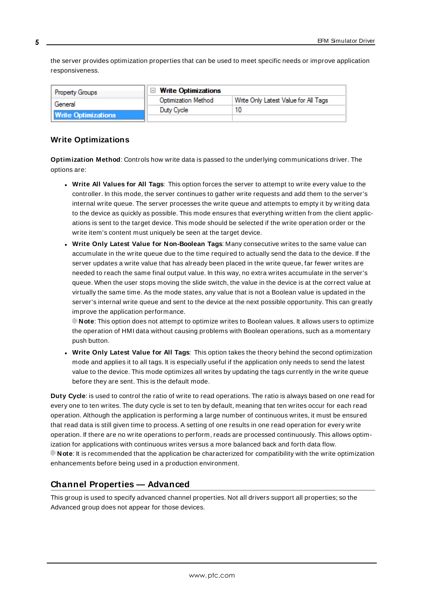the server provides optimization properties that can be used to meet specific needs or improve application responsiveness.

| <b>Property Groups</b>     | $\Box$ Write Optimizations |                                      |  |
|----------------------------|----------------------------|--------------------------------------|--|
| General                    | <b>Optimization Method</b> | Write Only Latest Value for All Tags |  |
|                            | Duty Cycle                 | 10                                   |  |
| <b>Write Optimizations</b> |                            |                                      |  |

#### **Write Optimizations**

**Optimization Method**: Controls how write data is passed to the underlying communications driver. The options are:

- <sup>l</sup> **Write All Values for All Tags**: This option forces the server to attempt to write every value to the controller. In this mode, the server continues to gather write requests and add them to the server's internal write queue. The server processes the write queue and attempts to empty it by writing data to the device as quickly as possible. This mode ensures that everything written from the client applications is sent to the target device. This mode should be selected if the write operation order or the write item's content must uniquely be seen at the target device.
- <sup>l</sup> **Write Only Latest Value for Non-Boolean Tags**: Many consecutive writes to the same value can accumulate in the write queue due to the time required to actually send the data to the device. If the server updates a write value that has already been placed in the write queue, far fewer writes are needed to reach the same final output value. In this way, no extra writes accumulate in the server's queue. When the user stops moving the slide switch, the value in the device is at the correct value at virtually the same time. As the mode states, any value that is not a Boolean value is updated in the server's internal write queue and sent to the device at the next possible opportunity. This can greatly improve the application performance.

**Note**: This option does not attempt to optimize writes to Boolean values. It allows users to optimize the operation of HMI data without causing problems with Boolean operations, such as a momentary push button.

<sup>l</sup> **Write Only Latest Value for All Tags**: This option takes the theory behind the second optimization mode and applies it to all tags. It is especially useful if the application only needs to send the latest value to the device. This mode optimizes all writes by updating the tags currently in the write queue before they are sent. This is the default mode.

**Duty Cycle**: is used to control the ratio of write to read operations. The ratio is always based on one read for every one to ten writes. The duty cycle is set to ten by default, meaning that ten writes occur for each read operation. Although the application is performing a large number of continuous writes, it must be ensured that read data is still given time to process. A setting of one results in one read operation for every write operation. If there are no write operations to perform, reads are processed continuously. This allows optimization for applications with continuous writes versus a more balanced back and forth data flow. **Note**: It is recommended that the application be characterized for compatibility with the write optimization enhancements before being used in a production environment.

#### <span id="page-4-0"></span>**Channel Properties — Advanced**

This group is used to specify advanced channel properties. Not all drivers support all properties; so the Advanced group does not appear for those devices.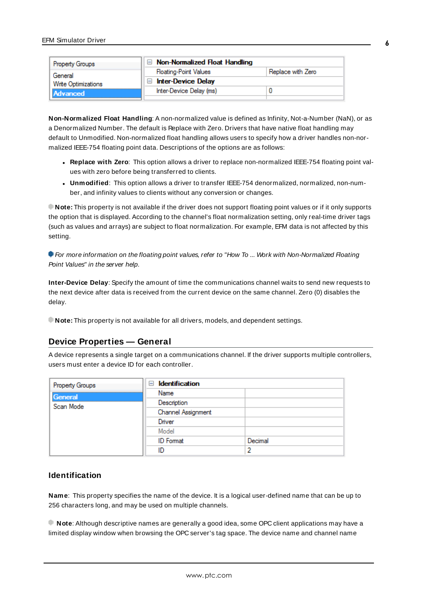| Property Groups     | $\Box$ Non-Normalized Float Handling |                   |  |
|---------------------|--------------------------------------|-------------------|--|
| General             | <b>Floating-Point Values</b>         | Replace with Zero |  |
| Write Optimizations | $\Box$ Inter-Device Delay            |                   |  |
| Advanced            | Inter-Device Delay (ms)              |                   |  |
|                     |                                      |                   |  |

**Non-Normalized Float Handling**: A non-normalized value is defined as Infinity, Not-a-Number (NaN), or as a Denormalized Number. The default is Replace with Zero. Drivers that have native float handling may default to Unmodified. Non-normalized float handling allows users to specify how a driver handles non-normalized IEEE-754 floating point data. Descriptions of the options are as follows:

- <sup>l</sup> **Replace with Zero**: This option allows a driver to replace non-normalized IEEE-754 floating point values with zero before being transferred to clients.
- <sup>l</sup> **Unmodified**: This option allows a driver to transfer IEEE-754 denormalized, normalized, non-number, and infinity values to clients without any conversion or changes.

**Note:** This property is not available if the driver does not support floating point values or if it only supports the option that is displayed. According to the channel's float normalization setting, only real-time driver tags (such as values and arrays) are subject to float normalization. For example, EFM data is not affected by this setting.

**For more information on the floating point values, refer to "How To ... Work with Non-Normalized Floating** Point Values" in the server help.

**Inter-Device Delay**: Specify the amount of time the communications channel waits to send new requests to the next device after data is received from the current device on the same channel. Zero (0) disables the delay.

<span id="page-5-0"></span>**Note:** This property is not available for all drivers, models, and dependent settings.

### **Device Properties — General**

A device represents a single target on a communications channel. If the driver supports multiple controllers, users must enter a device ID for each controller.

| <b>Property Groups</b> | $\Box$ Identification |         |  |
|------------------------|-----------------------|---------|--|
| General                | Name                  |         |  |
| Scan Mode              | Description           |         |  |
|                        | Channel Assignment    |         |  |
|                        | Driver                |         |  |
|                        | Model                 |         |  |
|                        | <b>ID</b> Format      | Decimal |  |
|                        | ID                    |         |  |

#### <span id="page-5-1"></span>**Identification**

**Name**: This property specifies the name of the device. It is a logical user-defined name that can be up to 256 characters long, and may be used on multiple channels.

**Note**: Although descriptive names are generally a good idea, some OPC client applications may have a limited display window when browsing the OPC server's tag space. The device name and channel name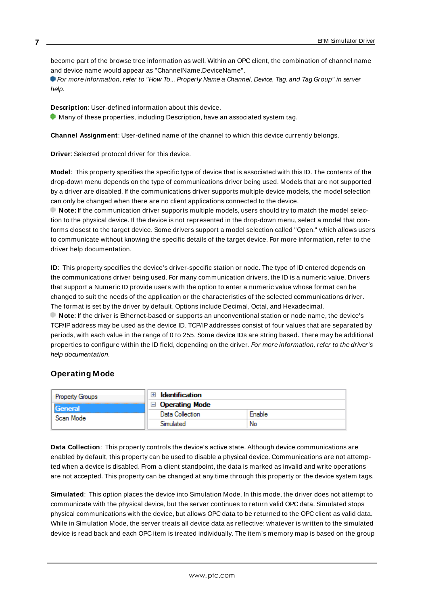become part of the browse tree information as well. Within an OPC client, the combination of channel name and device name would appear as "ChannelName.DeviceName".

For more information, refer to "How To... Properly Name a Channel, Device, Tag, and Tag Group" in server help.

**Description**: User-defined information about this device.

<span id="page-6-1"></span> $\bullet$  Many of these properties, including Description, have an associated system tag.

<span id="page-6-3"></span>**Channel Assignment**: User-defined name of the channel to which this device currently belongs.

<span id="page-6-5"></span>**Driver**: Selected protocol driver for this device.

**Model**: This property specifies the specific type of device that is associated with this ID. The contents of the drop-down menu depends on the type of communications driver being used. Models that are not supported by a driver are disabled. If the communications driver supports multiple device models, the model selection can only be changed when there are no client applications connected to the device.

**Note:** If the communication driver supports multiple models, users should try to match the model selection to the physical device. If the device is not represented in the drop-down menu, select a model that conforms closest to the target device. Some drivers support a model selection called "Open," which allows users to communicate without knowing the specific details of the target device. For more information, refer to the driver help documentation.

<span id="page-6-4"></span>**ID**: This property specifies the device's driver-specific station or node. The type of ID entered depends on the communications driver being used. For many communication drivers, the ID is a numeric value. Drivers that support a Numeric ID provide users with the option to enter a numeric value whose format can be changed to suit the needs of the application or the characteristics of the selected communications driver. The format is set by the driver by default. Options include Decimal, Octal, and Hexadecimal.

**Note**: If the driver is Ethernet-based or supports an unconventional station or node name, the device's TCP/IPaddress may be used as the device ID. TCP/IPaddresses consist of four values that are separated by periods, with each value in the range of 0 to 255. Some device IDs are string based. There may be additional properties to configure within the ID field, depending on the driver. For more information, refer to the driver's help documentation.

#### <span id="page-6-0"></span>**Operating Mode**

| <b>Property Groups</b> | <b>Identification</b> |        |
|------------------------|-----------------------|--------|
| General                | Operating Mode        |        |
| Scan Mode              | Data Collection       | Enable |
|                        | Simulated             | No     |

<span id="page-6-2"></span>**Data Collection**: This property controls the device's active state. Although device communications are enabled by default, this property can be used to disable a physical device. Communications are not attempted when a device is disabled. From a client standpoint, the data is marked as invalid and write operations are not accepted. This property can be changed at any time through this property or the device system tags.

**Simulated**: This option places the device into Simulation Mode. In this mode, the driver does not attempt to communicate with the physical device, but the server continues to return valid OPC data. Simulated stops physical communications with the device, but allows OPC data to be returned to the OPC client as valid data. While in Simulation Mode, the server treats all device data as reflective: whatever is written to the simulated device is read back and each OPC item is treated individually. The item's memory map is based on the group

**7**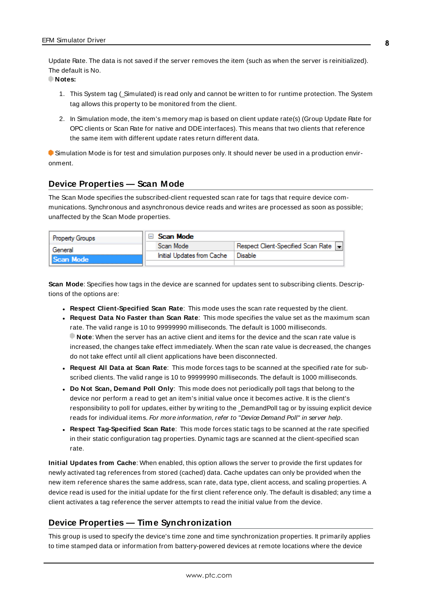<span id="page-7-6"></span>Update Rate. The data is not saved if the server removes the item (such as when the server is reinitialized). The default is No.

**Notes:**

- 1. This System tag (\_Simulated) is read only and cannot be written to for runtime protection. The System tag allows this property to be monitored from the client.
- 2. In Simulation mode, the item's memory map is based on client update rate(s) (Group Update Rate for OPC clients or Scan Rate for native and DDEinterfaces). This means that two clients that reference the same item with different update rates return different data.

 Simulation Mode is for test and simulation purposes only. It should never be used in a production environment.

### <span id="page-7-0"></span>**Device Properties — Scan Mode**

The Scan Mode specifies the subscribed-client requested scan rate for tags that require device communications. Synchronous and asynchronous device reads and writes are processed as soon as possible; unaffected by the Scan Mode properties.

| <b>Property Groups</b> | Scan Mode                  |                                       |
|------------------------|----------------------------|---------------------------------------|
| General                | Scan Mode                  | Respect Client-Specified Scan Rate  - |
| Scan Mode              | Initial Updates from Cache | Disable                               |
|                        |                            |                                       |

<span id="page-7-5"></span>**Scan Mode**: Specifies how tags in the device are scanned for updates sent to subscribing clients. Descriptions of the options are:

- <sup>l</sup> **Respect Client-Specified Scan Rate**: This mode uses the scan rate requested by the client.
- <sup>l</sup> **Request Data No Faster than Scan Rate**: This mode specifies the value set as the maximum scan rate. The valid range is 10 to 99999990 milliseconds. The default is 1000 milliseconds. **Note**: When the server has an active client and items for the device and the scan rate value is increased, the changes take effect immediately. When the scan rate value is decreased, the changes do not take effect until all client applications have been disconnected.
- <sup>l</sup> **Request All Data at Scan Rate**: This mode forces tags to be scanned at the specified rate for subscribed clients. The valid range is 10 to 99999990 milliseconds. The default is 1000 milliseconds.
- <span id="page-7-2"></span><sup>l</sup> **Do Not Scan, Demand Poll Only**: This mode does not periodically poll tags that belong to the device nor perform a read to get an item's initial value once it becomes active. It is the client's responsibility to poll for updates, either by writing to the \_DemandPoll tag or by issuing explicit device reads for individual items. For more information, refer to "Device Demand Poll" in server help.
- <span id="page-7-4"></span><sup>l</sup> **Respect Tag-Specified Scan Rate**: This mode forces static tags to be scanned at the rate specified in their static configuration tag properties. Dynamic tags are scanned at the client-specified scan rate.

<span id="page-7-3"></span>**Initial Updates from Cache**: When enabled, this option allows the server to provide the first updates for newly activated tag references from stored (cached) data. Cache updates can only be provided when the new item reference shares the same address, scan rate, data type, client access, and scaling properties. A device read is used for the initial update for the first client reference only. The default is disabled; any time a client activates a tag reference the server attempts to read the initial value from the device.

### <span id="page-7-1"></span>**Device Properties — Time Synchronization**

This group is used to specify the device's time zone and time synchronization properties. It primarily applies to time stamped data or information from battery-powered devices at remote locations where the device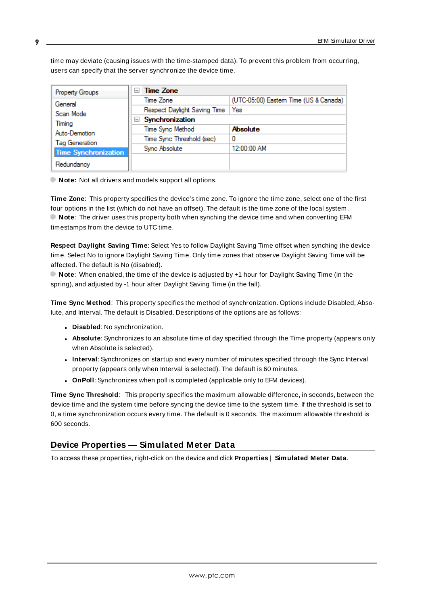time may deviate (causing issues with the time-stamped data). To prevent this problem from occurring, users can specify that the server synchronize the device time.

| Property Groups             | Time Zone<br>$\overline{\phantom{a}}$ |                                       |  |
|-----------------------------|---------------------------------------|---------------------------------------|--|
| General                     | Time Zone                             | (UTC-05:00) Eastem Time (US & Canada) |  |
| Scan Mode                   | Respect Daylight Saving Time          | Yes                                   |  |
| Timing                      | Synchronization<br>н                  |                                       |  |
| Auto-Demotion               | Time Sync Method                      | <b>Absolute</b>                       |  |
| Tag Generation              | Time Sync Threshold (sec)             | 0                                     |  |
| <b>Time Synchronization</b> | Sync Absolute                         | 12:00:00 AM                           |  |
|                             |                                       |                                       |  |
| Redundancy                  |                                       |                                       |  |

<span id="page-8-7"></span>**Note:** Not all drivers and models support all options.

**Time Zone**: This property specifies the device's time zone. To ignore the time zone, select one of the first four options in the list (which do not have an offset). The default is the time zone of the local system. **Note**: The driver uses this property both when synching the device time and when converting EFM timestamps from the device to UTC time.

<span id="page-8-2"></span>**Respect Daylight Saving Time**: Select Yes to follow Daylight Saving Time offset when synching the device time. Select No to ignore Daylight Saving Time. Only time zones that observe Daylight Saving Time will be affected. The default is No (disabled).

**Note**: When enabled, the time of the device is adjusted by +1 hour for Daylight Saving Time (in the spring), and adjusted by -1 hour after Daylight Saving Time (in the fall).

<span id="page-8-4"></span>**Time Sync Method**: This property specifies the method of synchronization. Options include Disabled, Absolute, and Interval. The default is Disabled. Descriptions of the options are as follows:

- <span id="page-8-1"></span>**.** Disabled: No synchronization.
- **Absolute**: Synchronizes to an absolute time of day specified through the Time property (appears only when Absolute is selected).
- <span id="page-8-3"></span><sup>l</sup> **Interval**: Synchronizes on startup and every number of minutes specified through the Sync Interval property (appears only when Interval is selected). The default is 60 minutes.
- <span id="page-8-5"></span>**.** OnPoll: Synchronizes when poll is completed (applicable only to EFM devices).

<span id="page-8-6"></span>**Time Sync Threshold**: This property specifies the maximum allowable difference, in seconds, between the device time and the system time before syncing the device time to the system time. If the threshold is set to 0, a time synchronization occurs every time. The default is 0 seconds. The maximum allowable threshold is 600 seconds.

### <span id="page-8-0"></span>**Device Properties — Simulated Meter Data**

To access these properties, right-click on the device and click **Properties** | **Simulated Meter Data**.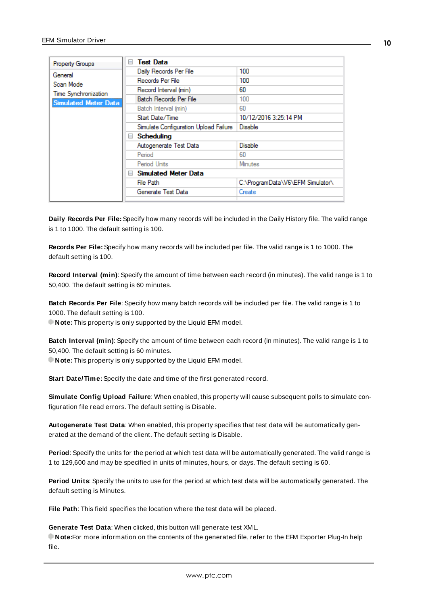| Property Groups             | $=$                                | <b>Test Data</b>                      |                                  |
|-----------------------------|------------------------------------|---------------------------------------|----------------------------------|
| General                     |                                    | Daily Records Per File                | 100                              |
| Scan Mode                   |                                    | Records Per File                      | 100                              |
| Time Synchronization        |                                    | Record Interval (min)                 | 60                               |
| <b>Simulated Meter Data</b> |                                    | Batch Records Per File                | 100                              |
|                             |                                    | Batch Interval (min)                  | 60                               |
|                             |                                    | Start Date/Time                       | 10/12/2016 3:25:14 PM            |
|                             |                                    | Simulate Configuration Upload Failure | <b>Disable</b>                   |
|                             |                                    | <b>Scheduling</b><br>$=$              |                                  |
|                             |                                    | Autogenerate Test Data                | Disable                          |
|                             |                                    | Period                                | 60                               |
|                             |                                    | Period Units                          | <b>Minutes</b>                   |
|                             | <b>Simulated Meter Data</b><br>$=$ |                                       |                                  |
|                             |                                    | File Path                             | C:\ProgramData\V6\EFM Simulator\ |
|                             |                                    | Generate Test Data                    | Create                           |
|                             |                                    |                                       |                                  |

<span id="page-9-2"></span>**Daily Records Per File:** Specify how many records will be included in the Daily History file. The valid range is 1 to 1000. The default setting is 100.

**Records Per File:** Specify how many records will be included per file. The valid range is 1 to 1000. The default setting is 100.

**Record Interval (min)**: Specify the amount of time between each record (in minutes). The valid range is 1 to 50,400. The default setting is 60 minutes.

<span id="page-9-1"></span>**Batch Records Per File**: Specify how many batch records will be included per file. The valid range is 1 to 1000. The default setting is 100.

**Note:** This property is only supported by the Liquid EFM model.

**Batch Interval (min)**: Specify the amount of time between each record (in minutes). The valid range is 1 to 50,400. The default setting is 60 minutes.

<span id="page-9-3"></span>**Note:** This property is only supported by the Liquid EFM model.

**Start Date/Time:** Specify the date and time of the first generated record.

**Simulate Config Upload Failure**: When enabled, this property will cause subsequent polls to simulate configuration file read errors. The default setting is Disable.

<span id="page-9-0"></span>**Autogenerate Test Data**: When enabled, this property specifies that test data will be automatically generated at the demand of the client. The default setting is Disable.

**Period**: Specify the units for the period at which test data will be automatically generated. The valid range is 1 to 129,600 and may be specified in units of minutes, hours, or days. The default setting is 60.

**Period Units**: Specify the units to use for the period at which test data will be automatically generated. The default setting is Minutes.

**File Path**: This field specifies the location where the test data will be placed.

**Generate Test Data**: When clicked, this button will generate test XML.

**Note:**For more information on the contents of the generated file, refer to the EFM Exporter Plug-In help file.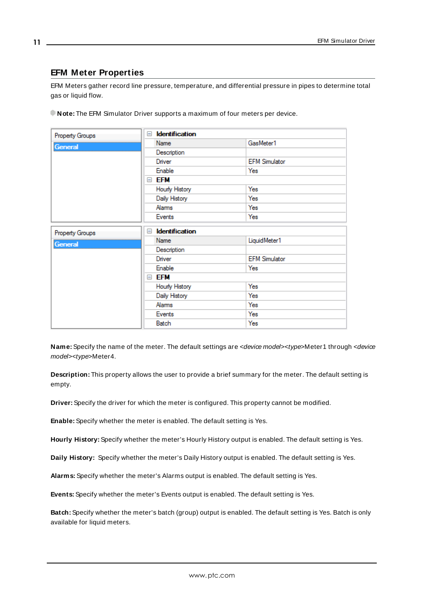## <span id="page-10-0"></span>**EFM Meter Properties**

EFM Meters gather record line pressure, temperature, and differential pressure in pipes to determine total gas or liquid flow.

| Note: The EFM Simulator Driver supports a maximum of four meters per device. |  |
|------------------------------------------------------------------------------|--|
|------------------------------------------------------------------------------|--|

| Property Groups | <b>Identification</b><br>Ξ        |  |                      |
|-----------------|-----------------------------------|--|----------------------|
| General         | Name                              |  | GasMeter1            |
|                 | Description                       |  |                      |
|                 | Driver                            |  | <b>EFM Simulator</b> |
|                 | Enable                            |  | Yes                  |
|                 | efm<br>$\equiv$                   |  |                      |
|                 | Hourly History                    |  | Yes                  |
|                 | Daily History                     |  | Yes                  |
|                 | Alarms                            |  | Yes                  |
|                 | Events                            |  | Yes                  |
| Property Groups | <b>Identification</b><br>$\equiv$ |  |                      |
| <b>General</b>  | Name                              |  | LiquidMeter1         |
|                 | Description                       |  |                      |
|                 | Driver                            |  | <b>EFM Simulator</b> |
|                 | Enable                            |  | Yes                  |
|                 | <b>EFM</b><br>$=$                 |  |                      |
|                 | Hourly History                    |  | Yes                  |
|                 | Daily History                     |  | Yes                  |
|                 | Alarms                            |  | Yes                  |
|                 | Events                            |  | Yes                  |
|                 | Batch                             |  | Yes                  |

Name: Specify the name of the meter. The default settings are <device model><type>Meter1 through <device model><type>Meter4.

**Description:** This property allows the user to provide a brief summary for the meter. The default setting is empty.

**Driver:** Specify the driver for which the meter is configured. This property cannot be modified.

<span id="page-10-3"></span>**Enable:** Specify whether the meter is enabled. The default setting is Yes.

**Hourly History:** Specify whether the meter's Hourly History output is enabled. The default setting is Yes.

<span id="page-10-1"></span>**Daily History:** Specify whether the meter's Daily History output is enabled. The default setting is Yes.

<span id="page-10-2"></span>**Alarms:** Specify whether the meter's Alarms output is enabled. The default setting is Yes.

**Events:** Specify whether the meter's Events output is enabled. The default setting is Yes.

**Batch:** Specify whether the meter's batch (group) output is enabled. The default setting is Yes. Batch is only available for liquid meters.

**11**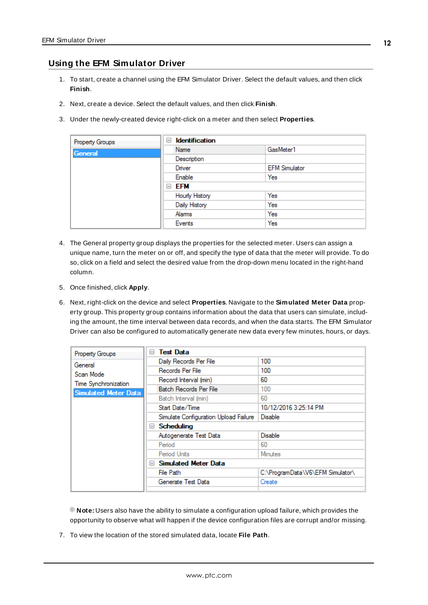### <span id="page-11-0"></span>**Using the EFM Simulator Driver**

- 1. To start, create a channel using the EFM Simulator Driver. Select the default values, and then click **Finish**.
- 2. Next, create a device. Select the default values, and then click **Finish**.
- 3. Under the newly-created device right-click on a meter and then select **Properties**.

| Property Groups | <b>Identification</b><br>$\equiv$ |                      |  |
|-----------------|-----------------------------------|----------------------|--|
| General         | Name                              | GasMeter1            |  |
|                 | Description                       |                      |  |
|                 | Driver                            | <b>EFM Simulator</b> |  |
|                 | Enable                            | Yes                  |  |
|                 | <b>EFM</b>                        |                      |  |
|                 | Hourly History                    | Yes                  |  |
|                 | Daily History                     | Yes                  |  |
|                 | Alams                             | Yes                  |  |
|                 | Events                            | Yes                  |  |

- 4. The General property group displays the properties for the selected meter. Users can assign a unique name, turn the meter on or off, and specify the type of data that the meter will provide. To do so, click on a field and select the desired value from the drop-down menu located in the right-hand column.
- 5. Once finished, click **Apply**.
- 6. Next, right-click on the device and select **Properties**. Navigate to the **Simulated Meter Data** property group. This property group contains information about the data that users can simulate, including the amount, the time interval between data records, and when the data starts. The EFM Simulator Driver can also be configured to automatically generate new data every few minutes, hours, or days.

| Property Groups                                                      | $-$ | <b>Test Data</b>                      |                                  |  |
|----------------------------------------------------------------------|-----|---------------------------------------|----------------------------------|--|
| General<br>Scan Mode<br>Time Synchronization<br>Simulated Meter Data |     | Daily Records Per File                | 100                              |  |
|                                                                      |     | Records Per File                      | 100                              |  |
|                                                                      |     | Record Interval (min)                 | 60                               |  |
|                                                                      |     | Batch Records Per File                | 100                              |  |
|                                                                      |     | Batch Interval (min)                  | 60                               |  |
|                                                                      |     | Start Date/Time                       | 10/12/2016 3:25:14 PM            |  |
|                                                                      |     | Simulate Configuration Upload Failure | <b>Disable</b>                   |  |
|                                                                      | $=$ | Scheduling                            |                                  |  |
|                                                                      |     | Autogenerate Test Data                | <b>Disable</b>                   |  |
|                                                                      |     | Period                                | 60                               |  |
|                                                                      |     | Period Units                          | <b>Minutes</b>                   |  |
|                                                                      | $-$ | Simulated Meter Data                  |                                  |  |
|                                                                      |     | File Path                             | C:\ProgramData\V6\EFM Simulator\ |  |
|                                                                      |     | Generate Test Data                    | Create                           |  |
|                                                                      |     |                                       |                                  |  |

**Note:** Users also have the ability to simulate a configuration upload failure, which provides the opportunity to observe what will happen if the device configuration files are corrupt and/or missing.

7. To view the location of the stored simulated data, locate **File Path**.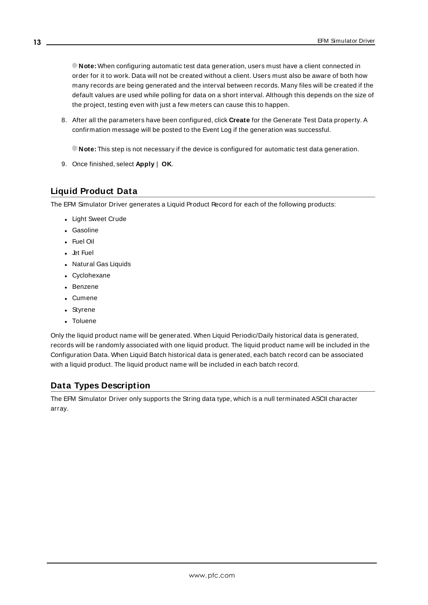**Note:** When configuring automatic test data generation, users must have a client connected in order for it to work. Data will not be created without a client. Users must also be aware of both how many records are being generated and the interval between records. Many files will be created if the default values are used while polling for data on a short interval. Although this depends on the size of the project, testing even with just a few meters can cause this to happen.

8. After all the parameters have been configured, click **Create** for the Generate Test Data property. A confirmation message will be posted to the Event Log if the generation was successful.

**Note:** This step is not necessary if the device is configured for automatic test data generation.

9. Once finished, select **Apply** | **OK**.

### <span id="page-12-0"></span>**Liquid Product Data**

The EFM Simulator Driver generates a Liquid Product Record for each of the following products:

- Light Sweet Crude
- Gasoline
- Fuel Oil
- **.** Jet Fuel
- Natural Gas Liquids
- Cyclohexane
- Benzene
- Cumene
- Styrene
- Toluene

Only the liquid product name will be generated. When Liquid Periodic/Daily historical data is generated, records will be randomly associated with one liquid product. The liquid product name will be included in the Configuration Data. When Liquid Batch historical data is generated, each batch record can be associated with a liquid product. The liquid product name will be included in each batch record.

### <span id="page-12-2"></span><span id="page-12-1"></span>**Data Types Description**

The EFM Simulator Driver only supports the String data type, which is a null terminated ASCII character array.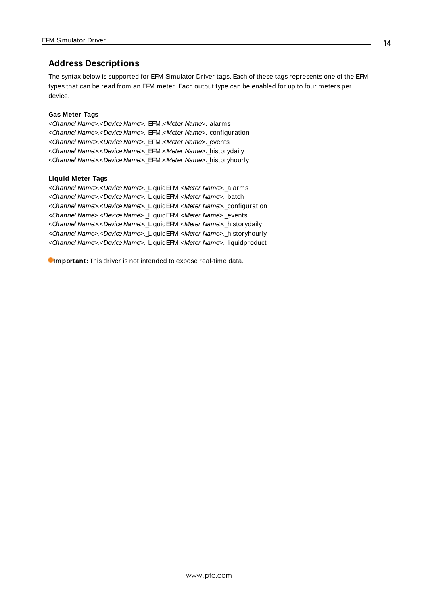### <span id="page-13-0"></span>**Address Descriptions**

The syntax below is supported for EFM Simulator Driver tags. Each of these tags represents one of the EFM types that can be read from an EFM meter. Each output type can be enabled for up to four meters per device.

#### <span id="page-13-2"></span><span id="page-13-1"></span>**Gas Meter Tags**

<Channel Name>.<Device Name>.\_EFM.<Meter Name>.\_alarms <Channel Name>.<Device Name>.\_EFM.<Meter Name>.\_configuration <Channel Name>.<Device Name>.\_EFM.<Meter Name>.\_events <Channel Name>.<Device Name>.\_EFM.<Meter Name>.\_historydaily <Channel Name>.<Device Name>.\_EFM.<Meter Name>.\_historyhourly

#### <span id="page-13-3"></span>**Liquid Meter Tags**

<Channel Name>.<Device Name>.\_LiquidEFM.<Meter Name>.\_alarms <Channel Name>.<Device Name>.\_LiquidEFM.<Meter Name>.\_batch <Channel Name>.<Device Name>.\_LiquidEFM.<Meter Name>.\_configuration <Channel Name>.<Device Name>.\_LiquidEFM.<Meter Name>.\_events <Channel Name>.<Device Name>.\_LiquidEFM.<Meter Name>.\_historydaily <Channel Name>.<Device Name>. LiquidEFM.<Meter Name>. historyhourly <Channel Name>.<Device Name>.\_LiquidEFM.<Meter Name>.\_liquidproduct

**Important:** This driver is not intended to expose real-time data.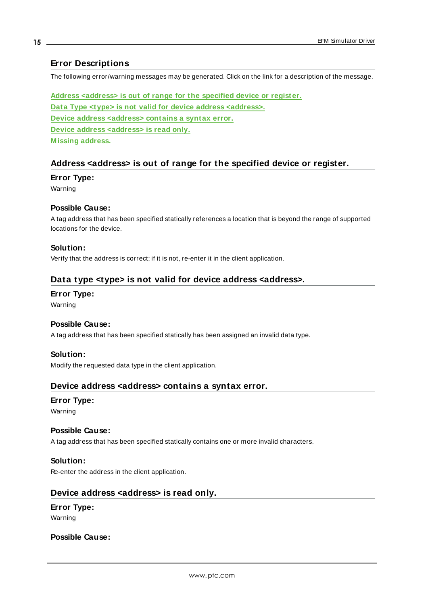### <span id="page-14-0"></span>**Error Descriptions**

The following error/warning messages may be generated. Click on the link for a description of the message.

**Address [<address>](#page-14-1) is out of range for the specified device or register. Data Type <type> is not valid for device address [<address>.](#page-14-2) Device address [<address>](#page-14-3) contains a syntax error. Device address [<address>](#page-14-4) is read only. [M issing](#page-15-0) address.**

#### <span id="page-14-1"></span>**Address <address> is out of range for the specified device or register.**

#### **Error Type:**

Warning

#### **Possible Cause:**

A tag address that has been specified statically references a location that is beyond the range of supported locations for the device.

#### **Solution:**

<span id="page-14-2"></span>Verify that the address is correct; if it is not, re-enter it in the client application.

### **Data type <type> is not valid for device address <address>.**

#### **Error Type:**

Warning

#### <span id="page-14-5"></span>**Possible Cause:**

A tag address that has been specified statically has been assigned an invalid data type.

#### **Solution:**

<span id="page-14-3"></span>Modify the requested data type in the client application.

#### **Device address <address> contains a syntax error.**

### **Error Type:**

Warning

#### **Possible Cause:**

A tag address that has been specified statically contains one or more invalid characters.

#### **Solution:**

<span id="page-14-4"></span>Re-enter the address in the client application.

#### **Device address <address> is read only.**

## **Error Type:**

Warning

#### **Possible Cause:**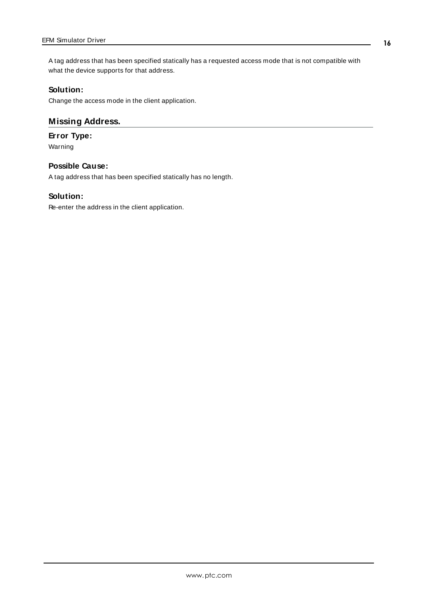A tag address that has been specified statically has a requested access mode that is not compatible with what the device supports for that address.

### **Solution:**

<span id="page-15-0"></span>Change the access mode in the client application.

### **Missing Address.**

#### **Error Type:**

Warning

#### **Possible Cause:**

A tag address that has been specified statically has no length.

#### **Solution:**

Re-enter the address in the client application.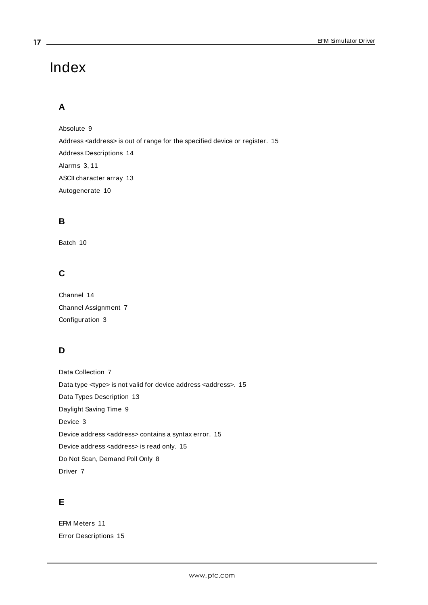# Index

# **A**

Absolute [9](#page-8-1) Address <address> is out of range for the specified device or register. [15](#page-14-1) Address Descriptions [14](#page-13-0) Alarms [3,](#page-2-3) [11](#page-10-1) ASCII character array [13](#page-12-2) Autogenerate [10](#page-9-0)

### **B**

Batch [10](#page-9-1)

# **C**

Channel [14](#page-13-1) Channel Assignment [7](#page-6-1) Configuration [3](#page-2-4)

# **D**

Data Collection [7](#page-6-2) Data type <type> is not valid for device address <address>. [15](#page-14-2) Data Types Description [13](#page-12-1) Daylight Saving Time [9](#page-8-2) Device [3](#page-2-5) Device address <address> contains a syntax error. [15](#page-14-3) Device address <address> is read only. [15](#page-14-4) Do Not Scan, Demand Poll Only [8](#page-7-2) Driver [7](#page-6-3)

# **E**

EFM Meters [11](#page-10-0) Error Descriptions [15](#page-14-0)

<span id="page-16-0"></span>**17**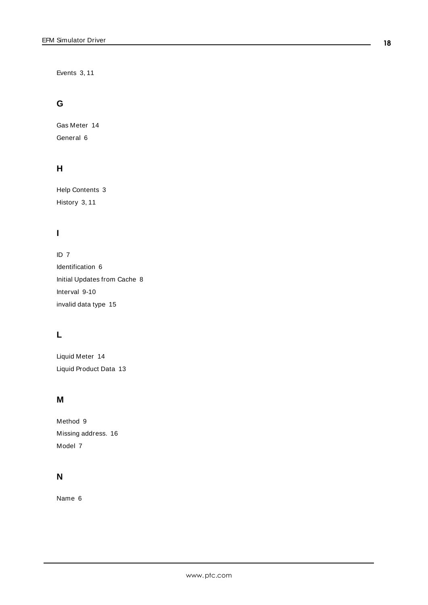Events [3](#page-2-6), [11](#page-10-2)

## **G**

Gas Meter [14](#page-13-2) General [6](#page-5-0)

### **H**

Help Contents [3](#page-2-0) History [3](#page-2-7), [11](#page-10-3)

# **I**

ID [7](#page-6-4) Identification [6](#page-5-0) Initial Updates from Cache [8](#page-7-3) Interval [9-10](#page-8-3) invalid data type [15](#page-14-5)

# **L**

Liquid Meter [14](#page-13-3) Liquid Product Data [13](#page-12-0)

### **M**

Method [9](#page-8-4) Missing address. [16](#page-15-0) Model [7](#page-6-5)

# **N**

Name [6](#page-5-1)